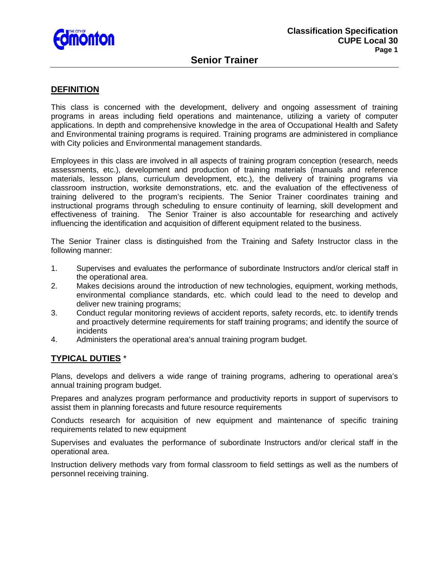

### **DEFINITION**

This class is concerned with the development, delivery and ongoing assessment of training programs in areas including field operations and maintenance, utilizing a variety of computer applications. In depth and comprehensive knowledge in the area of Occupational Health and Safety and Environmental training programs is required. Training programs are administered in compliance with City policies and Environmental management standards.

Employees in this class are involved in all aspects of training program conception (research, needs assessments, etc.), development and production of training materials (manuals and reference materials, lesson plans, curriculum development, etc.), the delivery of training programs via classroom instruction, worksite demonstrations, etc. and the evaluation of the effectiveness of training delivered to the program's recipients. The Senior Trainer coordinates training and instructional programs through scheduling to ensure continuity of learning, skill development and effectiveness of training. The Senior Trainer is also accountable for researching and actively influencing the identification and acquisition of different equipment related to the business.

The Senior Trainer class is distinguished from the Training and Safety Instructor class in the following manner:

- 1. Supervises and evaluates the performance of subordinate Instructors and/or clerical staff in the operational area.
- 2. Makes decisions around the introduction of new technologies, equipment, working methods, environmental compliance standards, etc. which could lead to the need to develop and deliver new training programs;
- 3. Conduct regular monitoring reviews of accident reports, safety records, etc. to identify trends and proactively determine requirements for staff training programs; and identify the source of incidents
- 4. Administers the operational area's annual training program budget.

## **TYPICAL DUTIES** \*

Plans, develops and delivers a wide range of training programs, adhering to operational area's annual training program budget.

Prepares and analyzes program performance and productivity reports in support of supervisors to assist them in planning forecasts and future resource requirements

Conducts research for acquisition of new equipment and maintenance of specific training requirements related to new equipment

Supervises and evaluates the performance of subordinate Instructors and/or clerical staff in the operational area.

Instruction delivery methods vary from formal classroom to field settings as well as the numbers of personnel receiving training.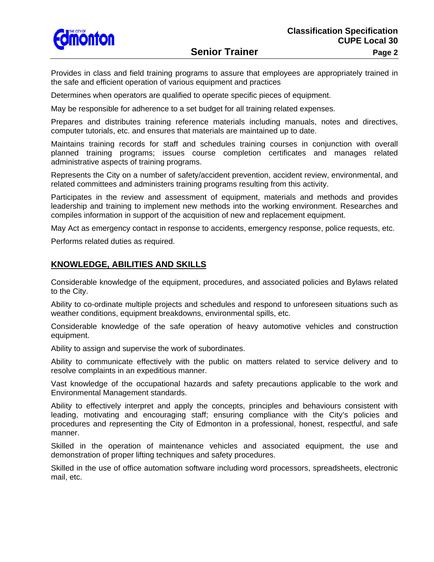

**Senior Trainer Page 2 Page 2** 

Provides in class and field training programs to assure that employees are appropriately trained in the safe and efficient operation of various equipment and practices

Determines when operators are qualified to operate specific pieces of equipment.

May be responsible for adherence to a set budget for all training related expenses.

Prepares and distributes training reference materials including manuals, notes and directives, computer tutorials, etc. and ensures that materials are maintained up to date.

Maintains training records for staff and schedules training courses in conjunction with overall planned training programs; issues course completion certificates and manages related administrative aspects of training programs.

Represents the City on a number of safety/accident prevention, accident review, environmental, and related committees and administers training programs resulting from this activity.

Participates in the review and assessment of equipment, materials and methods and provides leadership and training to implement new methods into the working environment. Researches and compiles information in support of the acquisition of new and replacement equipment.

May Act as emergency contact in response to accidents, emergency response, police requests, etc.

Performs related duties as required.

## **KNOWLEDGE, ABILITIES AND SKILLS**

Considerable knowledge of the equipment, procedures, and associated policies and Bylaws related to the City.

Ability to co-ordinate multiple projects and schedules and respond to unforeseen situations such as weather conditions, equipment breakdowns, environmental spills, etc.

Considerable knowledge of the safe operation of heavy automotive vehicles and construction equipment.

Ability to assign and supervise the work of subordinates.

Ability to communicate effectively with the public on matters related to service delivery and to resolve complaints in an expeditious manner.

Vast knowledge of the occupational hazards and safety precautions applicable to the work and Environmental Management standards.

Ability to effectively interpret and apply the concepts, principles and behaviours consistent with leading, motivating and encouraging staff; ensuring compliance with the City's policies and procedures and representing the City of Edmonton in a professional, honest, respectful, and safe manner.

Skilled in the operation of maintenance vehicles and associated equipment, the use and demonstration of proper lifting techniques and safety procedures.

Skilled in the use of office automation software including word processors, spreadsheets, electronic mail, etc.